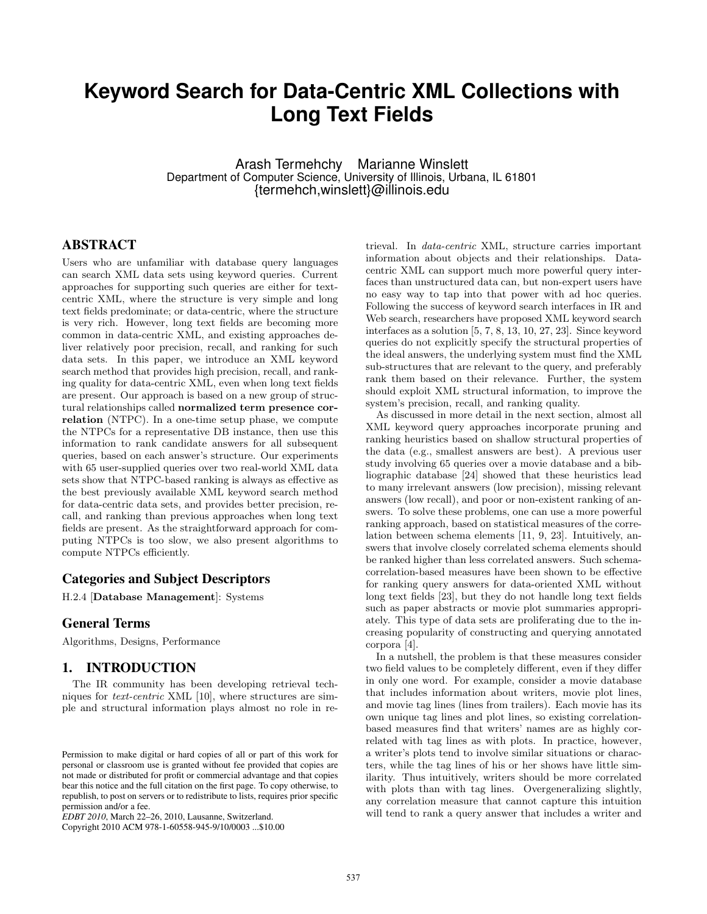# **Keyword Search for Data-Centric XML Collections with Long Text Fields**

Arash Termehchy Marianne Winslett Department of Computer Science, University of Illinois, Urbana, IL 61801 {termehch,winslett}@illinois.edu

# ABSTRACT

Users who are unfamiliar with database query languages can search XML data sets using keyword queries. Current approaches for supporting such queries are either for textcentric XML, where the structure is very simple and long text fields predominate; or data-centric, where the structure is very rich. However, long text fields are becoming more common in data-centric XML, and existing approaches deliver relatively poor precision, recall, and ranking for such data sets. In this paper, we introduce an XML keyword search method that provides high precision, recall, and ranking quality for data-centric XML, even when long text fields are present. Our approach is based on a new group of structural relationships called normalized term presence correlation (NTPC). In a one-time setup phase, we compute the NTPCs for a representative DB instance, then use this information to rank candidate answers for all subsequent queries, based on each answer's structure. Our experiments with 65 user-supplied queries over two real-world XML data sets show that NTPC-based ranking is always as effective as the best previously available XML keyword search method for data-centric data sets, and provides better precision, recall, and ranking than previous approaches when long text fields are present. As the straightforward approach for computing NTPCs is too slow, we also present algorithms to compute NTPCs efficiently.

## Categories and Subject Descriptors

H.2.4 [Database Management]: Systems

### General Terms

Algorithms, Designs, Performance

# 1. INTRODUCTION

The IR community has been developing retrieval techniques for text-centric XML [10], where structures are simple and structural information plays almost no role in re-

Copyright 2010 ACM 978-1-60558-945-9/10/0003 ...\$10.00

trieval. In data-centric XML, structure carries important information about objects and their relationships. Datacentric XML can support much more powerful query interfaces than unstructured data can, but non-expert users have no easy way to tap into that power with ad hoc queries. Following the success of keyword search interfaces in IR and Web search, researchers have proposed XML keyword search interfaces as a solution [5, 7, 8, 13, 10, 27, 23]. Since keyword queries do not explicitly specify the structural properties of the ideal answers, the underlying system must find the XML sub-structures that are relevant to the query, and preferably rank them based on their relevance. Further, the system should exploit XML structural information, to improve the system's precision, recall, and ranking quality.

As discussed in more detail in the next section, almost all XML keyword query approaches incorporate pruning and ranking heuristics based on shallow structural properties of the data (e.g., smallest answers are best). A previous user study involving 65 queries over a movie database and a bibliographic database [24] showed that these heuristics lead to many irrelevant answers (low precision), missing relevant answers (low recall), and poor or non-existent ranking of answers. To solve these problems, one can use a more powerful ranking approach, based on statistical measures of the correlation between schema elements [11, 9, 23]. Intuitively, answers that involve closely correlated schema elements should be ranked higher than less correlated answers. Such schemacorrelation-based measures have been shown to be effective for ranking query answers for data-oriented XML without long text fields [23], but they do not handle long text fields such as paper abstracts or movie plot summaries appropriately. This type of data sets are proliferating due to the increasing popularity of constructing and querying annotated corpora [4].

In a nutshell, the problem is that these measures consider two field values to be completely different, even if they differ in only one word. For example, consider a movie database that includes information about writers, movie plot lines, and movie tag lines (lines from trailers). Each movie has its own unique tag lines and plot lines, so existing correlationbased measures find that writers' names are as highly correlated with tag lines as with plots. In practice, however, a writer's plots tend to involve similar situations or characters, while the tag lines of his or her shows have little similarity. Thus intuitively, writers should be more correlated with plots than with tag lines. Overgeneralizing slightly, any correlation measure that cannot capture this intuition will tend to rank a query answer that includes a writer and

Permission to make digital or hard copies of all or part of this work for personal or classroom use is granted without fee provided that copies are not made or distributed for profit or commercial advantage and that copies bear this notice and the full citation on the first page. To copy otherwise, to republish, to post on servers or to redistribute to lists, requires prior specific permission and/or a fee.

*EDBT 2010*, March 22–26, 2010, Lausanne, Switzerland.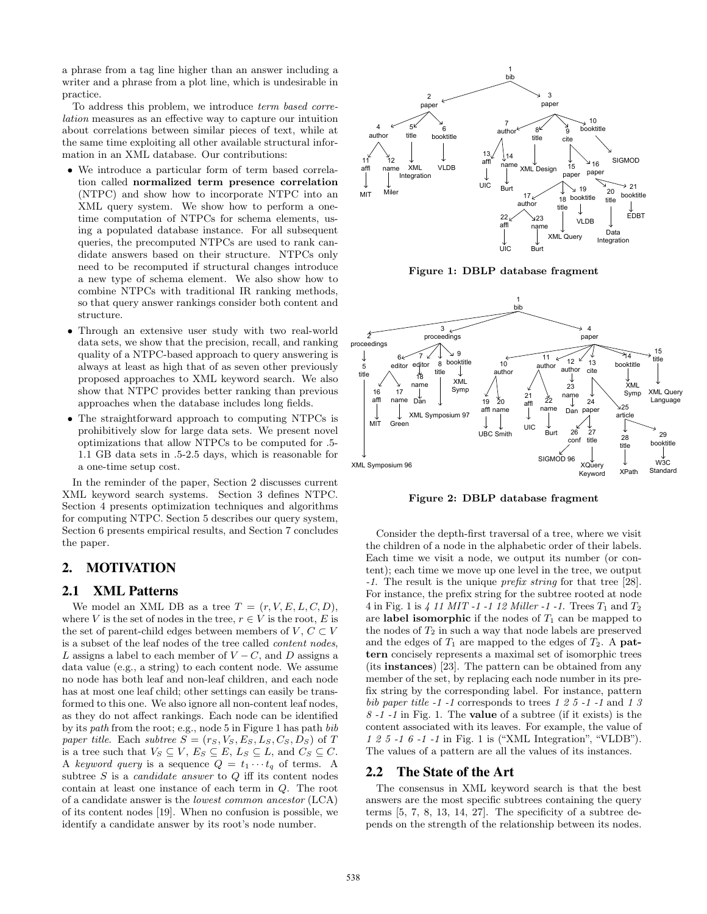a phrase from a tag line higher than an answer including a writer and a phrase from a plot line, which is undesirable in practice.

To address this problem, we introduce term based correlation measures as an effective way to capture our intuition about correlations between similar pieces of text, while at the same time exploiting all other available structural information in an XML database. Our contributions:

- We introduce a particular form of term based correlation called normalized term presence correlation (NTPC) and show how to incorporate NTPC into an XML query system. We show how to perform a onetime computation of NTPCs for schema elements, using a populated database instance. For all subsequent queries, the precomputed NTPCs are used to rank candidate answers based on their structure. NTPCs only need to be recomputed if structural changes introduce a new type of schema element. We also show how to combine NTPCs with traditional IR ranking methods, so that query answer rankings consider both content and structure.
- Through an extensive user study with two real-world data sets, we show that the precision, recall, and ranking quality of a NTPC-based approach to query answering is always at least as high that of as seven other previously proposed approaches to XML keyword search. We also show that NTPC provides better ranking than previous approaches when the database includes long fields.
- The straightforward approach to computing NTPCs is prohibitively slow for large data sets. We present novel optimizations that allow NTPCs to be computed for .5- 1.1 GB data sets in .5-2.5 days, which is reasonable for a one-time setup cost.

In the reminder of the paper, Section 2 discusses current XML keyword search systems. Section 3 defines NTPC. Section 4 presents optimization techniques and algorithms for computing NTPC. Section 5 describes our query system, Section 6 presents empirical results, and Section 7 concludes the paper.

# 2. MOTIVATION

# 2.1 XML Patterns

We model an XML DB as a tree  $T = (r, V, E, L, C, D)$ , where V is the set of nodes in the tree,  $r \in V$  is the root, E is the set of parent-child edges between members of V,  $C \subset V$ is a subset of the leaf nodes of the tree called content nodes, L assigns a label to each member of  $V - C$ , and D assigns a data value (e.g., a string) to each content node. We assume no node has both leaf and non-leaf children, and each node has at most one leaf child; other settings can easily be transformed to this one. We also ignore all non-content leaf nodes, as they do not affect rankings. Each node can be identified by its path from the root; e.g., node 5 in Figure 1 has path bib paper title. Each subtree  $S = (r_S, V_S, E_S, L_S, C_S, D_S)$  of T is a tree such that  $V_S \subseteq V$ ,  $E_S \subseteq E$ ,  $L_S \subseteq L$ , and  $C_S \subseteq C$ . A keyword query is a sequence  $Q = t_1 \cdots t_q$  of terms. A subtree  $S$  is a *candidate answer* to  $Q$  iff its content nodes contain at least one instance of each term in Q. The root of a candidate answer is the lowest common ancestor (LCA) of its content nodes [19]. When no confusion is possible, we identify a candidate answer by its root's node number.



Figure 1: DBLP database fragment



Figure 2: DBLP database fragment

Consider the depth-first traversal of a tree, where we visit the children of a node in the alphabetic order of their labels. Each time we visit a node, we output its number (or content); each time we move up one level in the tree, we output -1. The result is the unique prefix string for that tree [28]. For instance, the prefix string for the subtree rooted at node 4 in Fig. 1 is 4 11 MIT -1 -1 12 Miller -1 -1. Trees  $T_1$  and  $T_2$ are label isomorphic if the nodes of  $T_1$  can be mapped to the nodes of  $T_2$  in such a way that node labels are preserved and the edges of  $T_1$  are mapped to the edges of  $T_2$ . A pattern concisely represents a maximal set of isomorphic trees (its instances) [23]. The pattern can be obtained from any member of the set, by replacing each node number in its prefix string by the corresponding label. For instance, pattern bib paper title  $-1$  -1 corresponds to trees 1 2 5  $-1$  -1 and 1 3  $8 - 1 - 1$  in Fig. 1. The **value** of a subtree (if it exists) is the content associated with its leaves. For example, the value of 1 2 5 -1 6 -1 -1 in Fig. 1 is ("XML Integration", "VLDB"). The values of a pattern are all the values of its instances.

#### 2.2 The State of the Art

The consensus in XML keyword search is that the best answers are the most specific subtrees containing the query terms  $[5, 7, 8, 13, 14, 27]$ . The specificity of a subtree depends on the strength of the relationship between its nodes.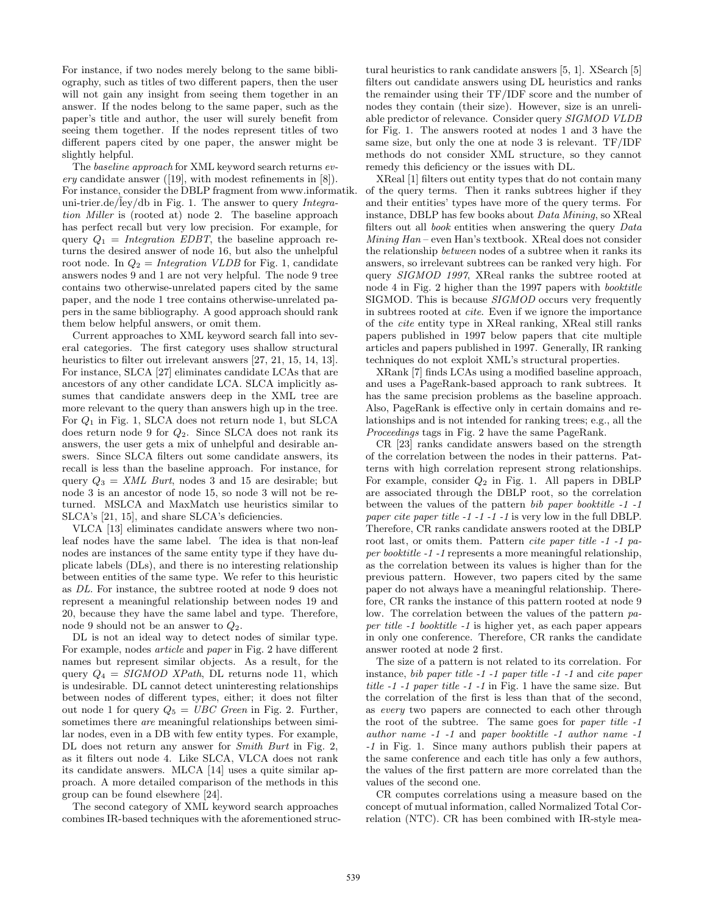For instance, if two nodes merely belong to the same bibliography, such as titles of two different papers, then the user will not gain any insight from seeing them together in an answer. If the nodes belong to the same paper, such as the paper's title and author, the user will surely benefit from seeing them together. If the nodes represent titles of two different papers cited by one paper, the answer might be slightly helpful.

The baseline approach for XML keyword search returns every candidate answer  $([19]$ , with modest refinements in  $[8]$ ). For instance, consider the DBLP fragment from www.informatik. uni-trier.de/ley/db in Fig. 1. The answer to query Integration Miller is (rooted at) node 2. The baseline approach has perfect recall but very low precision. For example, for query  $Q_1$  = Integration EDBT, the baseline approach returns the desired answer of node 16, but also the unhelpful root node. In  $Q_2 = Integration$  VLDB for Fig. 1, candidate answers nodes 9 and 1 are not very helpful. The node 9 tree contains two otherwise-unrelated papers cited by the same paper, and the node 1 tree contains otherwise-unrelated papers in the same bibliography. A good approach should rank them below helpful answers, or omit them.

Current approaches to XML keyword search fall into several categories. The first category uses shallow structural heuristics to filter out irrelevant answers [27, 21, 15, 14, 13]. For instance, SLCA [27] eliminates candidate LCAs that are ancestors of any other candidate LCA. SLCA implicitly assumes that candidate answers deep in the XML tree are more relevant to the query than answers high up in the tree. For  $Q_1$  in Fig. 1, SLCA does not return node 1, but SLCA does return node 9 for  $Q_2$ . Since SLCA does not rank its answers, the user gets a mix of unhelpful and desirable answers. Since SLCA filters out some candidate answers, its recall is less than the baseline approach. For instance, for query  $Q_3 = XML$  Burt, nodes 3 and 15 are desirable; but node 3 is an ancestor of node 15, so node 3 will not be returned. MSLCA and MaxMatch use heuristics similar to SLCA's [21, 15], and share SLCA's deficiencies.

VLCA [13] eliminates candidate answers where two nonleaf nodes have the same label. The idea is that non-leaf nodes are instances of the same entity type if they have duplicate labels (DLs), and there is no interesting relationship between entities of the same type. We refer to this heuristic as DL. For instance, the subtree rooted at node 9 does not represent a meaningful relationship between nodes 19 and 20, because they have the same label and type. Therefore, node 9 should not be an answer to  $Q_2$ .

DL is not an ideal way to detect nodes of similar type. For example, nodes *article* and *paper* in Fig. 2 have different names but represent similar objects. As a result, for the query  $Q_4 = SIGMOD$  XPath, DL returns node 11, which is undesirable. DL cannot detect uninteresting relationships between nodes of different types, either; it does not filter out node 1 for query  $Q_5 = UBC$  Green in Fig. 2. Further, sometimes there *are* meaningful relationships between similar nodes, even in a DB with few entity types. For example, DL does not return any answer for *Smith Burt* in Fig. 2, as it filters out node 4. Like SLCA, VLCA does not rank its candidate answers. MLCA [14] uses a quite similar approach. A more detailed comparison of the methods in this group can be found elsewhere [24].

The second category of XML keyword search approaches combines IR-based techniques with the aforementioned structural heuristics to rank candidate answers [5, 1]. XSearch [5] filters out candidate answers using DL heuristics and ranks the remainder using their TF/IDF score and the number of nodes they contain (their size). However, size is an unreliable predictor of relevance. Consider query SIGMOD VLDB for Fig. 1. The answers rooted at nodes 1 and 3 have the same size, but only the one at node 3 is relevant. TF/IDF methods do not consider XML structure, so they cannot remedy this deficiency or the issues with DL.

XReal [1] filters out entity types that do not contain many of the query terms. Then it ranks subtrees higher if they and their entities' types have more of the query terms. For instance, DBLP has few books about Data Mining, so XReal filters out all book entities when answering the query Data Mining Han – even Han's textbook. XReal does not consider the relationship between nodes of a subtree when it ranks its answers, so irrelevant subtrees can be ranked very high. For query SIGMOD 1997, XReal ranks the subtree rooted at node 4 in Fig. 2 higher than the 1997 papers with booktitle SIGMOD. This is because SIGMOD occurs very frequently in subtrees rooted at cite. Even if we ignore the importance of the cite entity type in XReal ranking, XReal still ranks papers published in 1997 below papers that cite multiple articles and papers published in 1997. Generally, IR ranking techniques do not exploit XML's structural properties.

XRank [7] finds LCAs using a modified baseline approach, and uses a PageRank-based approach to rank subtrees. It has the same precision problems as the baseline approach. Also, PageRank is effective only in certain domains and relationships and is not intended for ranking trees; e.g., all the Proceedings tags in Fig. 2 have the same PageRank.

CR [23] ranks candidate answers based on the strength of the correlation between the nodes in their patterns. Patterns with high correlation represent strong relationships. For example, consider  $Q_2$  in Fig. 1. All papers in DBLP are associated through the DBLP root, so the correlation between the values of the pattern bib paper booktitle -1 -1 paper cite paper title -1 -1 -1 -1 is very low in the full DBLP. Therefore, CR ranks candidate answers rooted at the DBLP root last, or omits them. Pattern cite paper title -1 -1 paper booktitle -1 -1 represents a more meaningful relationship, as the correlation between its values is higher than for the previous pattern. However, two papers cited by the same paper do not always have a meaningful relationship. Therefore, CR ranks the instance of this pattern rooted at node 9 low. The correlation between the values of the pattern paper title -1 booktitle -1 is higher yet, as each paper appears in only one conference. Therefore, CR ranks the candidate answer rooted at node 2 first.

The size of a pattern is not related to its correlation. For instance, bib paper title -1 -1 paper title -1 -1 and cite paper title -1 -1 paper title -1 -1 in Fig. 1 have the same size. But the correlation of the first is less than that of the second, as every two papers are connected to each other through the root of the subtree. The same goes for paper title -1 author name -1 -1 and paper booktitle -1 author name -1 -1 in Fig. 1. Since many authors publish their papers at the same conference and each title has only a few authors, the values of the first pattern are more correlated than the values of the second one.

CR computes correlations using a measure based on the concept of mutual information, called Normalized Total Correlation (NTC). CR has been combined with IR-style mea-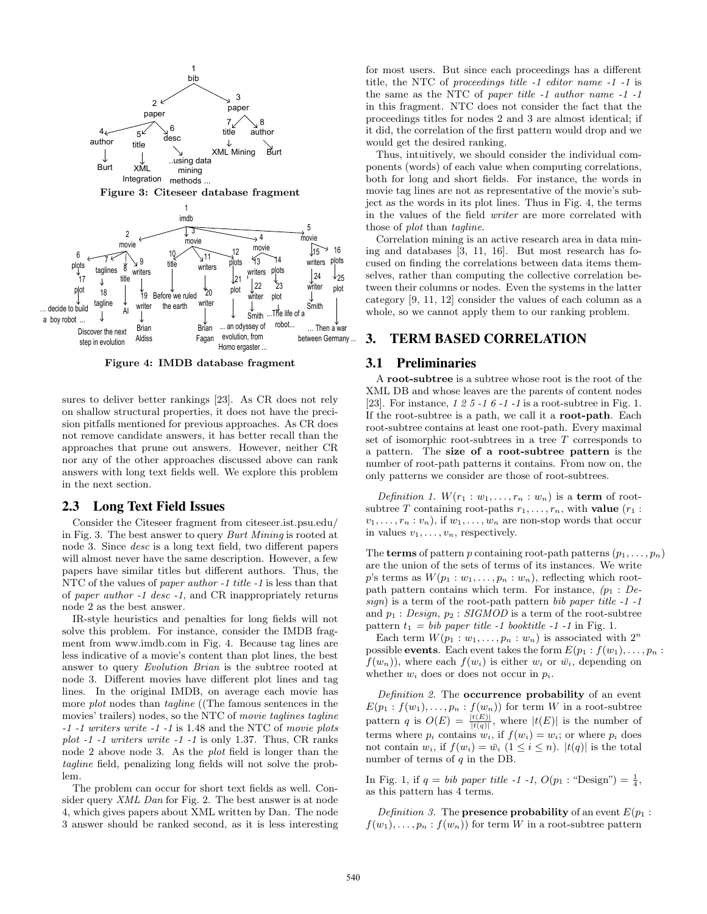

Figure 3: Citeseer database fragment



Figure 4: IMDB database fragment

sures to deliver better rankings [23]. As CR does not rely on shallow structural properties, it does not have the precision pitfalls mentioned for previous approaches. As CR does not remove candidate answers, it has better recall than the approaches that prune out answers. However, neither CR nor any of the other approaches discussed above can rank answers with long text fields well. We explore this problem in the next section.

#### 2.3 Long Text Field Issues

Consider the Citeseer fragment from citeseer.ist.psu.edu/ in Fig. 3. The best answer to query Burt Mining is rooted at node 3. Since desc is a long text field, two different papers will almost never have the same description. However, a few papers have similar titles but different authors. Thus, the NTC of the values of paper author -1 title -1 is less than that of paper author -1 desc -1, and CR inappropriately returns node 2 as the best answer.

IR-style heuristics and penalties for long fields will not solve this problem. For instance, consider the IMDB fragment from www.imdb.com in Fig. 4. Because tag lines are less indicative of a movie's content than plot lines, the best answer to query Evolution Brian is the subtree rooted at node 3. Different movies have different plot lines and tag lines. In the original IMDB, on average each movie has more plot nodes than tagline ((The famous sentences in the movies' trailers) nodes, so the NTC of movie taglines tagline -1 -1 writers write -1 -1 is 1.48 and the NTC of movie plots plot  $-1$  -1 writers write  $-1$  -1 is only 1.37. Thus, CR ranks node 2 above node 3. As the plot field is longer than the tagline field, penalizing long fields will not solve the problem.

The problem can occur for short text fields as well. Consider query XML Dan for Fig. 2. The best answer is at node 4, which gives papers about XML written by Dan. The node 3 answer should be ranked second, as it is less interesting for most users. But since each proceedings has a different title, the NTC of proceedings title -1 editor name -1 -1 is the same as the NTC of paper title -1 author name -1 -1 in this fragment. NTC does not consider the fact that the proceedings titles for nodes 2 and 3 are almost identical; if it did, the correlation of the first pattern would drop and we would get the desired ranking.

Thus, intuitively, we should consider the individual components (words) of each value when computing correlations, both for long and short fields. For instance, the words in movie tag lines are not as representative of the movie's subject as the words in its plot lines. Thus in Fig. 4, the terms in the values of the field writer are more correlated with those of plot than tagline.

Correlation mining is an active research area in data mining and databases [3, 11, 16]. But most research has focused on finding the correlations between data items themselves, rather than computing the collective correlation between their columns or nodes. Even the systems in the latter category [9, 11, 12] consider the values of each column as a whole, so we cannot apply them to our ranking problem.

## 3. TERM BASED CORRELATION

#### 3.1 Preliminaries

A root-subtree is a subtree whose root is the root of the XML DB and whose leaves are the parents of content nodes [23]. For instance, 1 2 5 -1 6 -1 -1 is a root-subtree in Fig. 1. If the root-subtree is a path, we call it a root-path. Each root-subtree contains at least one root-path. Every maximal set of isomorphic root-subtrees in a tree T corresponds to a pattern. The size of a root-subtree pattern is the number of root-path patterns it contains. From now on, the only patterns we consider are those of root-subtrees.

Definition 1.  $W(r_1:w_1,\ldots,r_n:w_n)$  is a term of rootsubtree T containing root-paths  $r_1, \ldots, r_n$ , with value  $(r_1 :$  $v_1, \ldots, r_n : v_n$ , if  $w_1, \ldots, w_n$  are non-stop words that occur in values  $v_1, \ldots, v_n$ , respectively.

The **terms** of pattern p containing root-path patterns  $(p_1, \ldots, p_n)$ are the union of the sets of terms of its instances. We write p's terms as  $W(p_1:w_1,\ldots,p_n:w_n)$ , reflecting which rootpath pattern contains which term. For instance,  $(p_1 : De$  $sign)$  is a term of the root-path pattern bib paper title  $-1$  -1 and  $p_1$ : *Design,*  $p_2$ : *SIGMOD* is a term of the root-subtree pattern  $t_1 = bib\ paper\ title\ -1\ booktitle\ -1\ -1\ in\ Fig.\ 1.$ 

Each term  $W(p_1:w_1,\ldots,p_n:w_n)$  is associated with  $2^n$ possible **events**. Each event takes the form  $E(p_1 : f(w_1), \ldots, p_n$ :  $f(w_n)$ , where each  $f(w_i)$  is either  $w_i$  or  $\bar{w}_i$ , depending on whether  $w_i$  does or does not occur in  $p_i$ .

Definition 2. The **occurrence probability** of an event  $E(p_1 : f(w_1), \ldots, p_n : f(w_n))$  for term W in a root-subtree pattern q is  $O(E) = \frac{|t(E)|}{|t(q)|}$ , where  $|t(E)|$  is the number of terms where  $p_i$  contains  $w_i$ , if  $f(w_i) = w_i$ ; or where  $p_i$  does not contain  $w_i$ , if  $f(w_i) = \bar{w}_i$   $(1 \leq i \leq n)$ .  $|t(q)|$  is the total number of terms of  $q$  in the DB.

In Fig. 1, if  $q = bib\ paper\ title\ -1\ -1\$ ,  $O(p_1 : "Design") = \frac{1}{4}$ , as this pattern has 4 terms.

Definition 3. The **presence probability** of an event  $E(p_1)$ :  $f(w_1), \ldots, p_n : f(w_n)$  for term W in a root-subtree pattern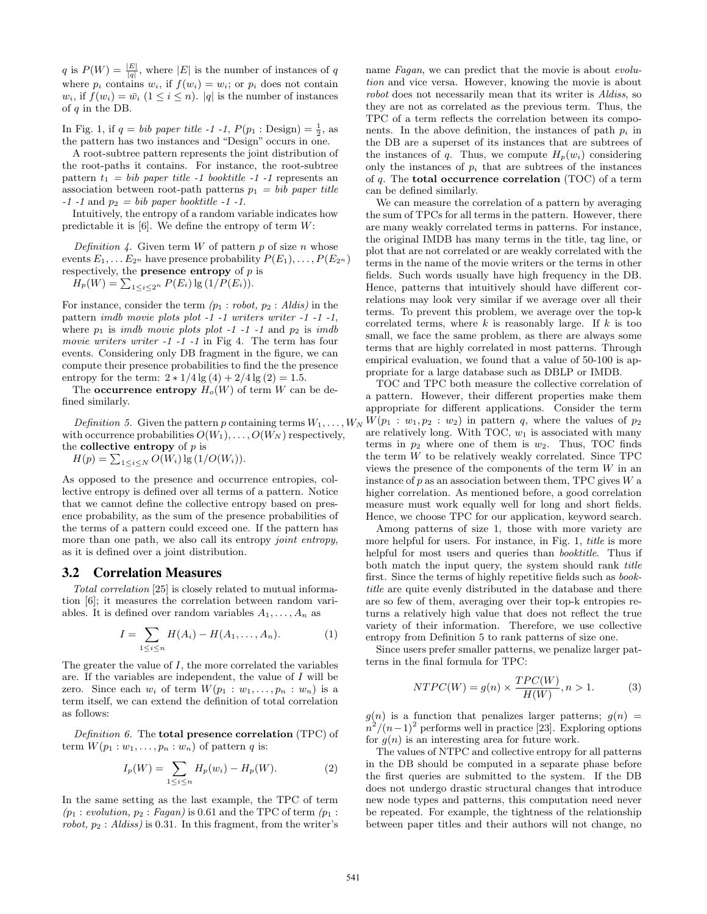q is  $P(W) = \frac{|E|}{|q|}$ , where |E| is the number of instances of q where  $p_i$  contains  $w_i$ , if  $f(w_i) = w_i$ ; or  $p_i$  does not contain  $w_i$ , if  $f(w_i) = \bar{w}_i$   $(1 \leq i \leq n)$ . |q| is the number of instances of  $q$  in the DB.

In Fig. 1, if  $q = bib\ paper\ title\ -1\ -1$ ,  $P(p_1 : Design) = \frac{1}{2}$ , as the pattern has two instances and "Design" occurs in one.

A root-subtree pattern represents the joint distribution of the root-paths it contains. For instance, the root-subtree pattern  $t_1 = bib$  paper title -1 booktitle -1 -1 represents an association between root-path patterns  $p_1 = bib\ paper\ title$  $-1$  -1 and  $p_2 = bib$  paper booktitle  $-1$  -1.

Intuitively, the entropy of a random variable indicates how predictable it is [6]. We define the entropy of term  $W$ :

Definition 4. Given term  $W$  of pattern  $p$  of size  $n$  whose events  $E_1, \ldots E_{2^n}$  have presence probability  $P(E_1), \ldots, P(E_{2^n})$ respectively, the **presence entropy** of  $p$  is

$$
H_p(W) = \sum_{1 \le i \le 2^n} P(E_i) \lg (1/P(E_i)).
$$

For instance, consider the term  $(p_1 : robot, p_2 : Aldis)$  in the pattern imdb movie plots plot -1 -1 writers writer -1 -1 -1, where  $p_1$  is *imdb* movie plots plot -1 -1 -1 and  $p_2$  is *imdb* movie writers writer  $-1$   $-1$   $-1$  in Fig 4. The term has four events. Considering only DB fragment in the figure, we can compute their presence probabilities to find the the presence entropy for the term:  $2 * 1/4 \lg(4) + 2/4 \lg(2) = 1.5$ .

The **occurrence entropy**  $H_o(W)$  of term W can be defined similarly.

Definition 5. Given the pattern p containing terms  $W_1, \ldots, W_N$ with occurrence probabilities  $O(W_1), \ldots, O(W_N)$  respectively, the **collective entropy** of  $p$  is

 $H(p) = \sum_{1 \le i \le N} O(W_i) \lg (1/O(W_i)).$ 

As opposed to the presence and occurrence entropies, collective entropy is defined over all terms of a pattern. Notice that we cannot define the collective entropy based on presence probability, as the sum of the presence probabilities of the terms of a pattern could exceed one. If the pattern has more than one path, we also call its entropy *joint entropy*, as it is defined over a joint distribution.

#### 3.2 Correlation Measures

Total correlation [25] is closely related to mutual information [6]; it measures the correlation between random variables. It is defined over random variables  $A_1, \ldots, A_n$  as

$$
I = \sum_{1 \le i \le n} H(A_i) - H(A_1, \dots, A_n).
$$
 (1)

The greater the value of  $I$ , the more correlated the variables are. If the variables are independent, the value of  $I$  will be zero. Since each  $w_i$  of term  $W(p_1:w_1,\ldots,p_n:w_n)$  is a term itself, we can extend the definition of total correlation as follows:

Definition 6. The total presence correlation (TPC) of term  $W(p_1:w_1,\ldots,p_n:w_n)$  of pattern q is:

$$
I_p(W) = \sum_{1 \le i \le n} H_p(w_i) - H_p(W).
$$
 (2)

In the same setting as the last example, the TPC of term  $(p_1: evolution, p_2: Fagan)$  is 0.61 and the TPC of term  $(p_1:$ robot,  $p_2$ : Aldiss) is 0.31. In this fragment, from the writer's name Fagan, we can predict that the movie is about evolution and vice versa. However, knowing the movie is about robot does not necessarily mean that its writer is Aldiss, so they are not as correlated as the previous term. Thus, the TPC of a term reflects the correlation between its components. In the above definition, the instances of path  $p_i$  in the DB are a superset of its instances that are subtrees of the instances of q. Thus, we compute  $H_p(w_i)$  considering only the instances of  $p_i$  that are subtrees of the instances of q. The **total occurrence correlation** (TOC) of a term can be defined similarly.

We can measure the correlation of a pattern by averaging the sum of TPCs for all terms in the pattern. However, there are many weakly correlated terms in patterns. For instance, the original IMDB has many terms in the title, tag line, or plot that are not correlated or are weakly correlated with the terms in the name of the movie writers or the terms in other fields. Such words usually have high frequency in the DB. Hence, patterns that intuitively should have different correlations may look very similar if we average over all their terms. To prevent this problem, we average over the top-k correlated terms, where  $k$  is reasonably large. If  $k$  is too small, we face the same problem, as there are always some terms that are highly correlated in most patterns. Through empirical evaluation, we found that a value of 50-100 is appropriate for a large database such as DBLP or IMDB.

TOC and TPC both measure the collective correlation of a pattern. However, their different properties make them appropriate for different applications. Consider the term  $W(p_1 : w_1, p_2 : w_2)$  in pattern q, where the values of  $p_2$ are relatively long. With TOC,  $w_1$  is associated with many terms in  $p_2$  where one of them is  $w_2$ . Thus, TOC finds the term W to be relatively weakly correlated. Since TPC views the presence of the components of the term W in an instance of  $p$  as an association between them, TPC gives  $W$  a higher correlation. As mentioned before, a good correlation measure must work equally well for long and short fields. Hence, we choose TPC for our application, keyword search.

Among patterns of size 1, those with more variety are more helpful for users. For instance, in Fig. 1, *title* is more helpful for most users and queries than *booktitle*. Thus if both match the input query, the system should rank title first. Since the terms of highly repetitive fields such as booktitle are quite evenly distributed in the database and there are so few of them, averaging over their top-k entropies returns a relatively high value that does not reflect the true variety of their information. Therefore, we use collective entropy from Definition 5 to rank patterns of size one.

Since users prefer smaller patterns, we penalize larger patterns in the final formula for TPC:

$$
NTPC(W) = g(n) \times \frac{TPC(W)}{H(W)}, n > 1.
$$
 (3)

 $g(n)$  is a function that penalizes larger patterns;  $g(n)$  =  $n^2/(n-1)^2$  performs well in practice [23]. Exploring options for  $q(n)$  is an interesting area for future work.

The values of NTPC and collective entropy for all patterns in the DB should be computed in a separate phase before the first queries are submitted to the system. If the DB does not undergo drastic structural changes that introduce new node types and patterns, this computation need never be repeated. For example, the tightness of the relationship between paper titles and their authors will not change, no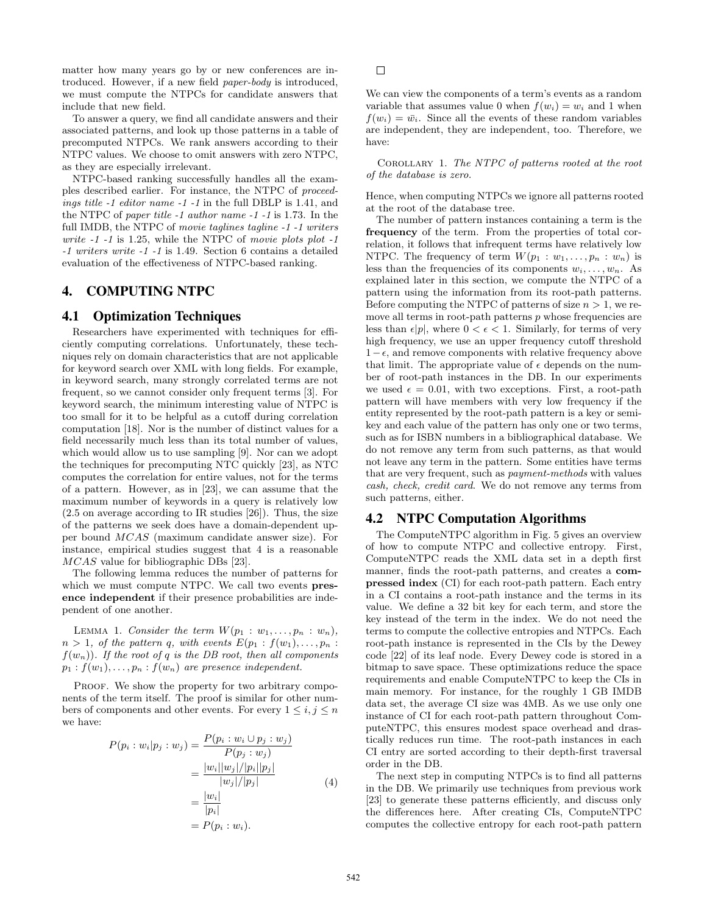matter how many years go by or new conferences are introduced. However, if a new field paper-body is introduced, we must compute the NTPCs for candidate answers that include that new field.

To answer a query, we find all candidate answers and their associated patterns, and look up those patterns in a table of precomputed NTPCs. We rank answers according to their NTPC values. We choose to omit answers with zero NTPC, as they are especially irrelevant.

NTPC-based ranking successfully handles all the examples described earlier. For instance, the NTPC of proceedings title -1 editor name -1 -1 in the full DBLP is 1.41, and the NTPC of paper title -1 author name -1 -1 is 1.73. In the full IMDB, the NTPC of movie taglines tagline -1 -1 writers write  $-1$   $-1$  is 1.25, while the NTPC of movie plots plot  $-1$ -1 writers write -1 -1 is 1.49. Section 6 contains a detailed evaluation of the effectiveness of NTPC-based ranking.

# 4. COMPUTING NTPC

#### 4.1 Optimization Techniques

Researchers have experimented with techniques for efficiently computing correlations. Unfortunately, these techniques rely on domain characteristics that are not applicable for keyword search over XML with long fields. For example, in keyword search, many strongly correlated terms are not frequent, so we cannot consider only frequent terms [3]. For keyword search, the minimum interesting value of NTPC is too small for it to be helpful as a cutoff during correlation computation [18]. Nor is the number of distinct values for a field necessarily much less than its total number of values, which would allow us to use sampling [9]. Nor can we adopt the techniques for precomputing NTC quickly [23], as NTC computes the correlation for entire values, not for the terms of a pattern. However, as in [23], we can assume that the maximum number of keywords in a query is relatively low (2.5 on average according to IR studies [26]). Thus, the size of the patterns we seek does have a domain-dependent upper bound MCAS (maximum candidate answer size). For instance, empirical studies suggest that 4 is a reasonable MCAS value for bibliographic DBs [23].

The following lemma reduces the number of patterns for which we must compute NTPC. We call two events presence independent if their presence probabilities are independent of one another.

LEMMA 1. Consider the term  $W(p_1 : w_1, \ldots, p_n : w_n)$ ,  $n > 1$ , of the pattern q, with events  $E(p_1 : f(w_1), \ldots, p_n)$ :  $f(w_n)$ . If the root of q is the DB root, then all components  $p_1 : f(w_1), \ldots, p_n : f(w_n)$  are presence independent.

PROOF. We show the property for two arbitrary components of the term itself. The proof is similar for other numbers of components and other events. For every  $1 \leq i, j \leq n$ we have:

$$
P(p_i : w_i | p_j : w_j) = \frac{P(p_i : w_i \cup p_j : w_j)}{P(p_j : w_j)} \\
= \frac{|w_i||w_j|/|p_i||p_j|}{|w_j|/|p_j|} \\
= \frac{|w_i|}{|p_i|} \\
= P(p_i : w_i).
$$
\n(4)

 $\Box$ 

We can view the components of a term's events as a random variable that assumes value 0 when  $f(w_i) = w_i$  and 1 when  $f(w_i) = \bar{w_i}$ . Since all the events of these random variables are independent, they are independent, too. Therefore, we have:

Corollary 1. The NTPC of patterns rooted at the root of the database is zero.

Hence, when computing NTPCs we ignore all patterns rooted at the root of the database tree.

The number of pattern instances containing a term is the frequency of the term. From the properties of total correlation, it follows that infrequent terms have relatively low NTPC. The frequency of term  $W(p_1 : w_1, \ldots, p_n : w_n)$  is less than the frequencies of its components  $w_i, \ldots, w_n$ . As explained later in this section, we compute the NTPC of a pattern using the information from its root-path patterns. Before computing the NTPC of patterns of size  $n > 1$ , we remove all terms in root-path patterns  $p$  whose frequencies are less than  $\epsilon|p|$ , where  $0 < \epsilon < 1$ . Similarly, for terms of very high frequency, we use an upper frequency cutoff threshold  $1-\epsilon$ , and remove components with relative frequency above that limit. The appropriate value of  $\epsilon$  depends on the number of root-path instances in the DB. In our experiments we used  $\epsilon = 0.01$ , with two exceptions. First, a root-path pattern will have members with very low frequency if the entity represented by the root-path pattern is a key or semikey and each value of the pattern has only one or two terms, such as for ISBN numbers in a bibliographical database. We do not remove any term from such patterns, as that would not leave any term in the pattern. Some entities have terms that are very frequent, such as payment-methods with values cash, check, credit card. We do not remove any terms from such patterns, either.

### 4.2 NTPC Computation Algorithms

The ComputeNTPC algorithm in Fig. 5 gives an overview of how to compute NTPC and collective entropy. First, ComputeNTPC reads the XML data set in a depth first manner, finds the root-path patterns, and creates a compressed index (CI) for each root-path pattern. Each entry in a CI contains a root-path instance and the terms in its value. We define a 32 bit key for each term, and store the key instead of the term in the index. We do not need the terms to compute the collective entropies and NTPCs. Each root-path instance is represented in the CIs by the Dewey code [22] of its leaf node. Every Dewey code is stored in a bitmap to save space. These optimizations reduce the space requirements and enable ComputeNTPC to keep the CIs in main memory. For instance, for the roughly 1 GB IMDB data set, the average CI size was 4MB. As we use only one instance of CI for each root-path pattern throughout ComputeNTPC, this ensures modest space overhead and drastically reduces run time. The root-path instances in each CI entry are sorted according to their depth-first traversal order in the DB.

The next step in computing NTPCs is to find all patterns in the DB. We primarily use techniques from previous work [23] to generate these patterns efficiently, and discuss only the differences here. After creating CIs, ComputeNTPC computes the collective entropy for each root-path pattern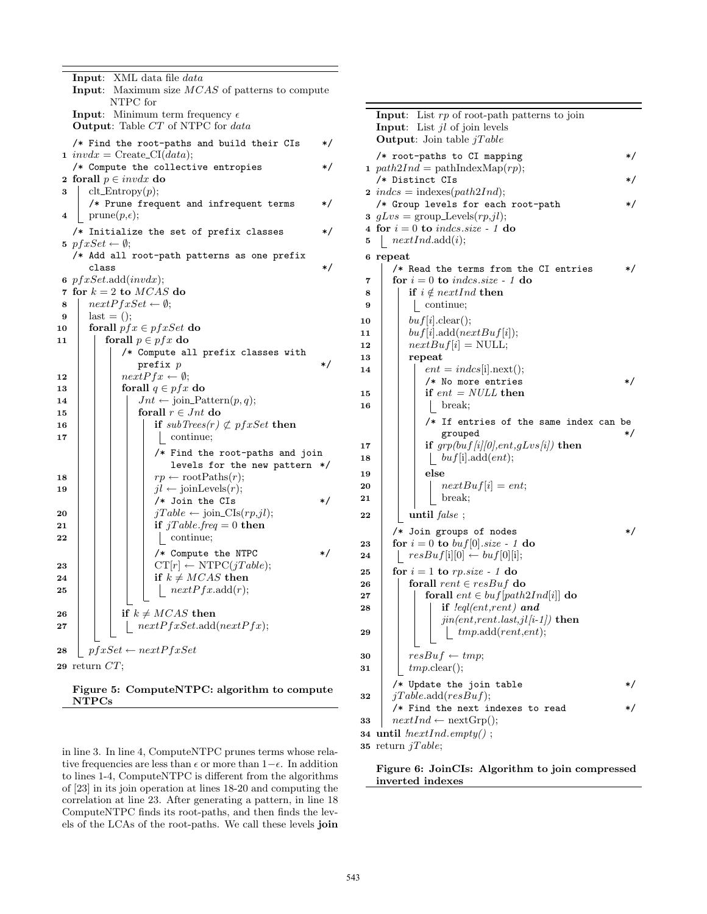|    | Input: XML data file <i>data</i>                            |  |  |  |  |  |  |  |  |  |
|----|-------------------------------------------------------------|--|--|--|--|--|--|--|--|--|
|    | Input: Maximum size MCAS of patterns to compute             |  |  |  |  |  |  |  |  |  |
|    | NTPC for                                                    |  |  |  |  |  |  |  |  |  |
|    | <b>Input:</b> Minimum term frequency $\epsilon$             |  |  |  |  |  |  |  |  |  |
|    | Output: Table CT of NTPC for data                           |  |  |  |  |  |  |  |  |  |
|    | /* Find the root-paths and build their CIs<br>*/            |  |  |  |  |  |  |  |  |  |
|    | 1 invdx = Create_CI(data);                                  |  |  |  |  |  |  |  |  |  |
|    | /* Compute the collective entropies<br>*/                   |  |  |  |  |  |  |  |  |  |
|    | 2 forall $p \in invdx$ do                                   |  |  |  |  |  |  |  |  |  |
| 3  | $\text{clt\_Entropy}(p);$                                   |  |  |  |  |  |  |  |  |  |
|    | /* Prune frequent and infrequent terms<br>*/                |  |  |  |  |  |  |  |  |  |
| 4  | $prune(p, \epsilon);$                                       |  |  |  |  |  |  |  |  |  |
|    | /* Initialize the set of prefix classes<br>*/               |  |  |  |  |  |  |  |  |  |
|    | 5 $pfxSet \leftarrow \emptyset$ ;                           |  |  |  |  |  |  |  |  |  |
|    | /* Add all root-path patterns as one prefix                 |  |  |  |  |  |  |  |  |  |
|    | */<br>class                                                 |  |  |  |  |  |  |  |  |  |
|    | $6 \text{ }pfxSet.add(invdx);$                              |  |  |  |  |  |  |  |  |  |
|    | 7 for $k = 2$ to $MCAS$ do                                  |  |  |  |  |  |  |  |  |  |
| 8  | $nextPfxSet \leftarrow \emptyset;$                          |  |  |  |  |  |  |  |  |  |
| 9  | $last = ()$                                                 |  |  |  |  |  |  |  |  |  |
| 10 | forall $pfx \in pfxSet$ do                                  |  |  |  |  |  |  |  |  |  |
| 11 | forall $p \in pfx$ do<br>/* Compute all prefix classes with |  |  |  |  |  |  |  |  |  |
|    | */<br>$\mathbf{prefix}\ p$                                  |  |  |  |  |  |  |  |  |  |
| 12 | $nextPfx \leftarrow \emptyset;$                             |  |  |  |  |  |  |  |  |  |
| 13 | forall $q \in pfx$ do                                       |  |  |  |  |  |  |  |  |  |
| 14 | $Jnt \leftarrow \text{join\_Pattern}(p, q);$                |  |  |  |  |  |  |  |  |  |
| 15 | for<br>all $r\in\operatorname{Jnt}$ do                      |  |  |  |  |  |  |  |  |  |
| 16 | if $subTrees(r) \not\subset pfxSet$ then                    |  |  |  |  |  |  |  |  |  |
| 17 | continue;                                                   |  |  |  |  |  |  |  |  |  |
|    | /* Find the root-paths and join                             |  |  |  |  |  |  |  |  |  |
|    | levels for the new pattern */                               |  |  |  |  |  |  |  |  |  |
| 18 | $rp \leftarrow \text{rootPaths}(r);$                        |  |  |  |  |  |  |  |  |  |
| 19 | $jl \leftarrow \text{joinLevels}(r);$                       |  |  |  |  |  |  |  |  |  |
|    | /* Join the CIs<br>*/                                       |  |  |  |  |  |  |  |  |  |
| 20 | $jTable \leftarrow join\_CIs(rp,jl);$                       |  |  |  |  |  |  |  |  |  |
| 21 | if $jTable.Freq = 0$ then                                   |  |  |  |  |  |  |  |  |  |
| 22 | continue;                                                   |  |  |  |  |  |  |  |  |  |
|    | */<br>/* Compute the NTPC                                   |  |  |  |  |  |  |  |  |  |
| 23 | $CT[r] \leftarrow NTPC(jTable);$                            |  |  |  |  |  |  |  |  |  |
| 24 | if $k \neq MCAS$ then                                       |  |  |  |  |  |  |  |  |  |
| 25 | $\left  \quad nextPfx.\text{add}(r); \right.$               |  |  |  |  |  |  |  |  |  |
|    |                                                             |  |  |  |  |  |  |  |  |  |
| 26 | if $k \neq MCAS$ then                                       |  |  |  |  |  |  |  |  |  |
| 27 | nextPfxSet.add(nextPfx);                                    |  |  |  |  |  |  |  |  |  |
|    |                                                             |  |  |  |  |  |  |  |  |  |
| 28 | $pfxSet \leftarrow nextPfxSet$                              |  |  |  |  |  |  |  |  |  |
|    | 29 return $CT;$                                             |  |  |  |  |  |  |  |  |  |
|    |                                                             |  |  |  |  |  |  |  |  |  |

Figure 5: ComputeNTPC: algorithm to compute NTPCs

in line 3. In line 4, ComputeNTPC prunes terms whose relative frequencies are less than  $\epsilon$  or more than  $1-\epsilon$ . In addition to lines 1-4, ComputeNTPC is different from the algorithms of [23] in its join operation at lines 18-20 and computing the correlation at line 23. After generating a pattern, in line 18 ComputeNTPC finds its root-paths, and then finds the levels of the LCAs of the root-paths. We call these levels join

|          | <b>Input:</b> List $rp$ of root-path patterns to join |         |  |  |  |  |  |  |  |  |
|----------|-------------------------------------------------------|---------|--|--|--|--|--|--|--|--|
|          | <b>Input:</b> List $jl$ of join levels                |         |  |  |  |  |  |  |  |  |
|          | <b>Output:</b> Join table $jTable$                    |         |  |  |  |  |  |  |  |  |
|          |                                                       |         |  |  |  |  |  |  |  |  |
|          | /* root-paths to CI mapping                           | */      |  |  |  |  |  |  |  |  |
|          | 1 $path2Ind = pathIndexMap(rp);$                      |         |  |  |  |  |  |  |  |  |
|          | /* Distinct CIs                                       |         |  |  |  |  |  |  |  |  |
|          | <b>2</b> index = indexes( $path2Ind$ );               |         |  |  |  |  |  |  |  |  |
|          | /* Group levels for each root-path                    |         |  |  |  |  |  |  |  |  |
| $\bf{3}$ | $qLvs = \text{group\_Levels}(rp, il);$                |         |  |  |  |  |  |  |  |  |
|          |                                                       |         |  |  |  |  |  |  |  |  |
| 5        | 4 for $i = 0$ to indcs.size - 1 do                    |         |  |  |  |  |  |  |  |  |
|          | nextInd.add(i);                                       |         |  |  |  |  |  |  |  |  |
|          | 6 repeat                                              |         |  |  |  |  |  |  |  |  |
|          | /* Read the terms from the CI entries                 | $\ast/$ |  |  |  |  |  |  |  |  |
| 7        | for $i = 0$ to indcs.size - 1 do                      |         |  |  |  |  |  |  |  |  |
| 8        | if $i \notin nextInd$ then                            |         |  |  |  |  |  |  |  |  |
| 9        | continue;                                             |         |  |  |  |  |  |  |  |  |
|          | buf[i].clear();                                       |         |  |  |  |  |  |  |  |  |
| 10       |                                                       |         |  |  |  |  |  |  |  |  |
| 11       | buf[i].add(nextBuf[i]);                               |         |  |  |  |  |  |  |  |  |
| 12       | $nextBuf[i] = NULL;$                                  |         |  |  |  |  |  |  |  |  |
| 13       | repeat                                                |         |  |  |  |  |  |  |  |  |
| 14       | $ent = indcs[i].next();$                              |         |  |  |  |  |  |  |  |  |
|          | /* No more entries                                    | $\ast/$ |  |  |  |  |  |  |  |  |
| 15       | if $ent = NULL$ then                                  |         |  |  |  |  |  |  |  |  |
| 16       | break;                                                |         |  |  |  |  |  |  |  |  |
|          | $/*$ If entries of the same index can be              |         |  |  |  |  |  |  |  |  |
|          | grouped                                               | $\ast/$ |  |  |  |  |  |  |  |  |
| 17       | if $\frac{grp(buf/i 0),ent, gLvs/i)}{b}$ then         |         |  |  |  |  |  |  |  |  |
| 18       | buf[i].add(ent);                                      |         |  |  |  |  |  |  |  |  |
|          |                                                       |         |  |  |  |  |  |  |  |  |
| 19       | else                                                  |         |  |  |  |  |  |  |  |  |
| 20       | $nextBuf[i] = ent;$                                   |         |  |  |  |  |  |  |  |  |
| 21       | break;                                                |         |  |  |  |  |  |  |  |  |
| 22       | until $false$ ;                                       |         |  |  |  |  |  |  |  |  |
|          |                                                       |         |  |  |  |  |  |  |  |  |
|          | /* Join groups of nodes                               | */      |  |  |  |  |  |  |  |  |
| 23       | for $i = 0$ to $buf[0].size - 1$ do                   |         |  |  |  |  |  |  |  |  |
| 24       | $resBuf[i][0] \leftarrow buf[0][i];$                  |         |  |  |  |  |  |  |  |  |
| 25       | for $i = 1$ to $rp.size - 1$ do                       |         |  |  |  |  |  |  |  |  |
| 26       | forall $rent \in resBuf$ do                           |         |  |  |  |  |  |  |  |  |
| 27       | forall $ent \in but [path2Ind[i]]$ do                 |         |  |  |  |  |  |  |  |  |
| 28       | if $leq$ leql(ent, rent) and                          |         |  |  |  |  |  |  |  |  |
|          | $jin(ent, rent. last, il[i-1])$ then                  |         |  |  |  |  |  |  |  |  |
| 29       | tmp.add(rent, ent);                                   |         |  |  |  |  |  |  |  |  |
|          |                                                       |         |  |  |  |  |  |  |  |  |
| 30       | $resBuf \leftarrow tmp;$                              |         |  |  |  |  |  |  |  |  |
|          | $tmp,{\rm clear}();$                                  |         |  |  |  |  |  |  |  |  |
| 31       |                                                       |         |  |  |  |  |  |  |  |  |
|          | /* Update the join table                              |         |  |  |  |  |  |  |  |  |
| 32       | jTable.add(resBuf);                                   |         |  |  |  |  |  |  |  |  |
|          | /* Find the next indexes to read                      |         |  |  |  |  |  |  |  |  |
| 33       | $nextInd \leftarrow nextGrp();$                       |         |  |  |  |  |  |  |  |  |
|          | 34 until $InextInd. empty()$ ;                        |         |  |  |  |  |  |  |  |  |
|          |                                                       |         |  |  |  |  |  |  |  |  |

35 return  $jTable;$ 

Figure 6: JoinCIs: Algorithm to join compressed inverted indexes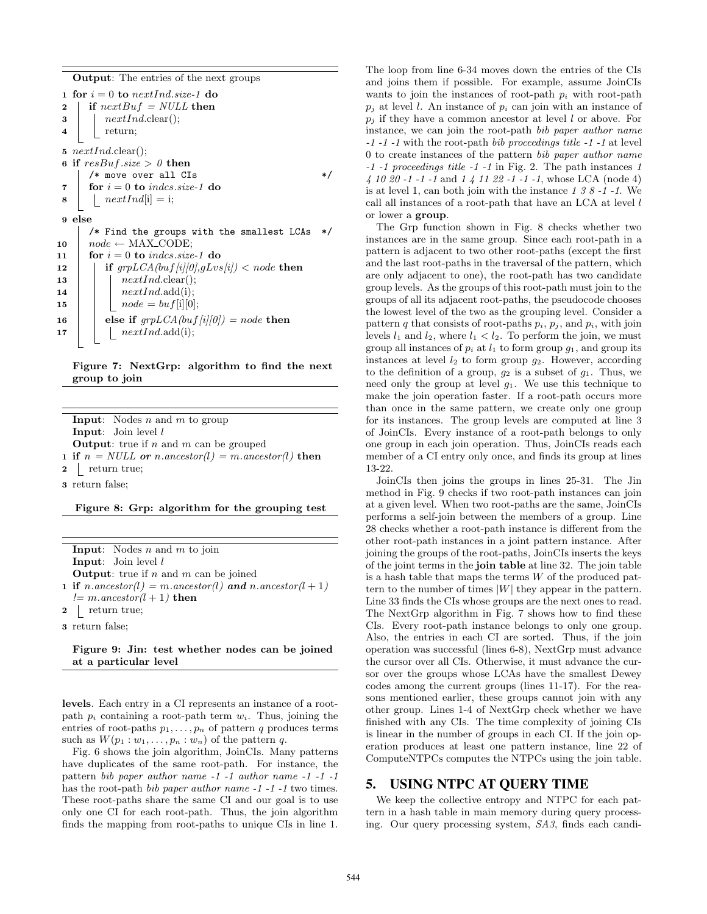Output: The entries of the next groups

1 for  $i = 0$  to nextInd.size-1 do 2 | if  $nextBuf = NULL$  then  $\mathbf{3}$  |  $nextInd$ .clear(); 4 | return; 5  $nextInd$ clear(); 6 if  $resBuf.size > 0$  then  $/*$  move over all  $CIs$   $*/$ 7 for  $i = 0$  to indcs.size-1 do  $\mathbf{8}$  | |  $nextInd[i] = i;$ 9 else  $/*$  Find the groups with the smallest LCAs 10  $\vert$  node ← MAX\_CODE; 11 for  $i = 0$  to indcs.size-1 do 12 if  $grpLCA(buf/i|0), gLvs/i) < node$  then 13 | |  $nextInd$ .clear(); 14 | |  $nextInd.add(i);$ 15 | |  $node = but[i][0]$ ; 16 else if  $grpLCA(buf[i][0]) = node$  then 17 | |  $nextInd.add(i);$ 

Figure 7: NextGrp: algorithm to find the next group to join

**Input:** Nodes  $n$  and  $m$  to group Input: Join level l **Output:** true if  $n$  and  $m$  can be grouped 1 if  $n = NULL$  or n.ancestor(l) = m.ancestor(l) then 2 | return true; 3 return false;

Figure 8: Grp: algorithm for the grouping test

| <b>Input:</b> Nodes $n$ and $m$ to join                         |
|-----------------------------------------------------------------|
| <b>Input:</b> Join level $l$                                    |
| <b>Output:</b> true if n and m can be joined                    |
| <b>1 if</b> $n$ ancestor(l) = m ancestor(l) and n ancestor(l+1) |
| $l = m {\cdot} ancestor(l + 1)$ then                            |
| $2 \mid$ return true;                                           |
|                                                                 |

3 return false;

#### Figure 9: Jin: test whether nodes can be joined at a particular level

levels. Each entry in a CI represents an instance of a rootpath  $p_i$  containing a root-path term  $w_i$ . Thus, joining the entries of root-paths  $p_1, \ldots, p_n$  of pattern q produces terms such as  $W(p_1:w_1,\ldots,p_n:w_n)$  of the pattern q.

Fig. 6 shows the join algorithm, JoinCIs. Many patterns have duplicates of the same root-path. For instance, the pattern bib paper author name -1 -1 author name -1 -1 -1 has the root-path *bib paper author name -1 -1 -1* two times. These root-paths share the same CI and our goal is to use only one CI for each root-path. Thus, the join algorithm finds the mapping from root-paths to unique CIs in line 1. The loop from line 6-34 moves down the entries of the CIs and joins them if possible. For example, assume JoinCIs wants to join the instances of root-path  $p_i$  with root-path  $p_i$  at level l. An instance of  $p_i$  can join with an instance of  $p_j$  if they have a common ancestor at level l or above. For instance, we can join the root-path bib paper author name -1 -1 -1 with the root-path bib proceedings title -1 -1 at level 0 to create instances of the pattern bib paper author name -1 -1 proceedings title -1 -1 in Fig. 2. The path instances 1 4 10 20 -1 -1 -1 and 1 4 11 22 -1 -1 -1, whose LCA (node 4) is at level 1, can both join with the instance  $1 \, 3 \, 8 \, -1 \, -1$ . We call all instances of a root-path that have an LCA at level l or lower a group.

The Grp function shown in Fig. 8 checks whether two instances are in the same group. Since each root-path in a pattern is adjacent to two other root-paths (except the first and the last root-paths in the traversal of the pattern, which are only adjacent to one), the root-path has two candidate group levels. As the groups of this root-path must join to the groups of all its adjacent root-paths, the pseudocode chooses the lowest level of the two as the grouping level. Consider a pattern  $q$  that consists of root-paths  $p_i$ ,  $p_j$ , and  $p_i$ , with join levels  $l_1$  and  $l_2$ , where  $l_1 < l_2$ . To perform the join, we must group all instances of  $p_i$  at  $l_1$  to form group  $g_1$ , and group its instances at level  $l_2$  to form group  $g_2$ . However, according to the definition of a group,  $g_2$  is a subset of  $g_1$ . Thus, we need only the group at level  $g_1$ . We use this technique to make the join operation faster. If a root-path occurs more than once in the same pattern, we create only one group for its instances. The group levels are computed at line 3 of JoinCIs. Every instance of a root-path belongs to only one group in each join operation. Thus, JoinCIs reads each member of a CI entry only once, and finds its group at lines 13-22.

JoinCIs then joins the groups in lines 25-31. The Jin method in Fig. 9 checks if two root-path instances can join at a given level. When two root-paths are the same, JoinCIs performs a self-join between the members of a group. Line 28 checks whether a root-path instance is different from the other root-path instances in a joint pattern instance. After joining the groups of the root-paths, JoinCIs inserts the keys of the joint terms in the join table at line 32. The join table is a hash table that maps the terms  $W$  of the produced pattern to the number of times  $|W|$  they appear in the pattern. Line 33 finds the CIs whose groups are the next ones to read. The NextGrp algorithm in Fig. 7 shows how to find these CIs. Every root-path instance belongs to only one group. Also, the entries in each CI are sorted. Thus, if the join operation was successful (lines 6-8), NextGrp must advance the cursor over all CIs. Otherwise, it must advance the cursor over the groups whose LCAs have the smallest Dewey codes among the current groups (lines 11-17). For the reasons mentioned earlier, these groups cannot join with any other group. Lines 1-4 of NextGrp check whether we have finished with any CIs. The time complexity of joining CIs is linear in the number of groups in each CI. If the join operation produces at least one pattern instance, line 22 of ComputeNTPCs computes the NTPCs using the join table.

## 5. USING NTPC AT QUERY TIME

We keep the collective entropy and NTPC for each pattern in a hash table in main memory during query processing. Our query processing system, SA3, finds each candi-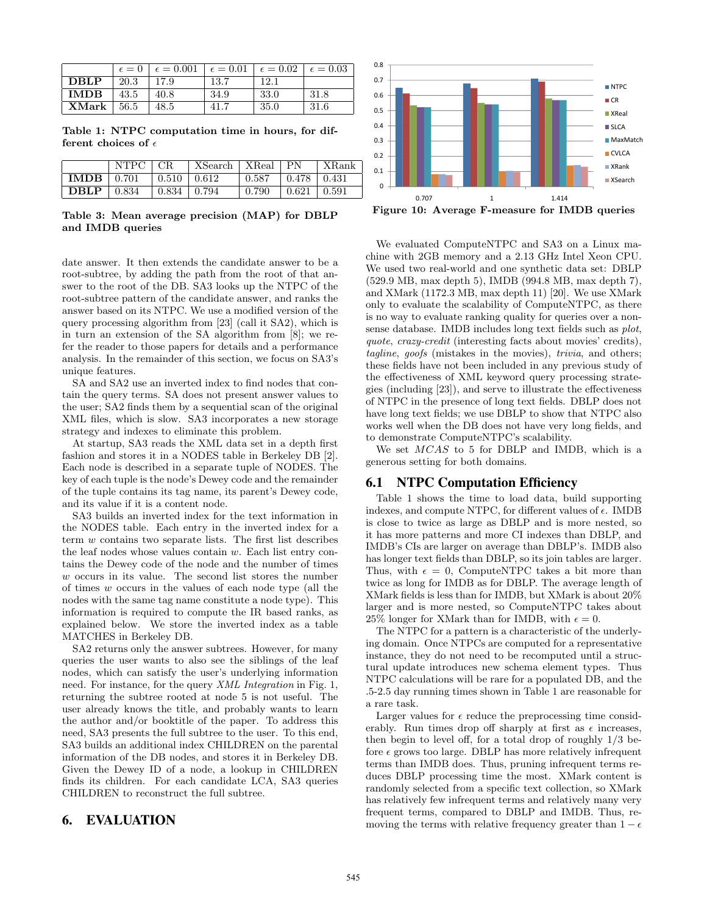|                         |      | $\epsilon = 0$ $\epsilon = 0.001$ $\epsilon = 0.01$ $\epsilon = 0.02$ $\epsilon = 0.03$ |      |      |       |
|-------------------------|------|-----------------------------------------------------------------------------------------|------|------|-------|
| $\mid$ DBLP             | 20.3 | 17.9                                                                                    | 13.7 | 12.1 |       |
| $\blacksquare$ IMDB     | 43.5 | 40.8                                                                                    | 34.9 | 33.0 | -31.8 |
| $\mathbf{XMark}$   56.5 |      | 48.5                                                                                    | 41.7 | 35.0 | -31.6 |

Table 1: NTPC computation time in hours, for different choices of  $\epsilon$ 

|                       | NTPC   CR |                           | XSearch   XReal   PN |       |                           | XRank |
|-----------------------|-----------|---------------------------|----------------------|-------|---------------------------|-------|
| $IMDB$   0.701        |           | $\mid$ 0.510 $\mid$ 0.612 |                      |       |                           |       |
| $\text{DBLP}$   0.834 |           | $\vert 0.834 \vert 0.794$ |                      | 0.790 | $\vert 0.621 \vert 0.591$ |       |

Table 3: Mean average precision (MAP) for DBLP and IMDB queries

date answer. It then extends the candidate answer to be a root-subtree, by adding the path from the root of that answer to the root of the DB. SA3 looks up the NTPC of the root-subtree pattern of the candidate answer, and ranks the answer based on its NTPC. We use a modified version of the query processing algorithm from [23] (call it SA2), which is in turn an extension of the SA algorithm from [8]; we refer the reader to those papers for details and a performance analysis. In the remainder of this section, we focus on SA3's unique features.

SA and SA2 use an inverted index to find nodes that contain the query terms. SA does not present answer values to the user; SA2 finds them by a sequential scan of the original XML files, which is slow. SA3 incorporates a new storage strategy and indexes to eliminate this problem.

At startup, SA3 reads the XML data set in a depth first fashion and stores it in a NODES table in Berkeley DB [2]. Each node is described in a separate tuple of NODES. The key of each tuple is the node's Dewey code and the remainder of the tuple contains its tag name, its parent's Dewey code, and its value if it is a content node.

SA3 builds an inverted index for the text information in the NODES table. Each entry in the inverted index for a term w contains two separate lists. The first list describes the leaf nodes whose values contain w. Each list entry contains the Dewey code of the node and the number of times w occurs in its value. The second list stores the number of times w occurs in the values of each node type (all the nodes with the same tag name constitute a node type). This information is required to compute the IR based ranks, as explained below. We store the inverted index as a table MATCHES in Berkeley DB.

SA2 returns only the answer subtrees. However, for many queries the user wants to also see the siblings of the leaf nodes, which can satisfy the user's underlying information need. For instance, for the query XML Integration in Fig. 1, returning the subtree rooted at node 5 is not useful. The user already knows the title, and probably wants to learn the author and/or booktitle of the paper. To address this need, SA3 presents the full subtree to the user. To this end, SA3 builds an additional index CHILDREN on the parental information of the DB nodes, and stores it in Berkeley DB. Given the Dewey ID of a node, a lookup in CHILDREN finds its children. For each candidate LCA, SA3 queries CHILDREN to reconstruct the full subtree.

# 6. EVALUATION



We evaluated ComputeNTPC and SA3 on a Linux machine with 2GB memory and a 2.13 GHz Intel Xeon CPU. We used two real-world and one synthetic data set: DBLP (529.9 MB, max depth 5), IMDB (994.8 MB, max depth 7), and XMark (1172.3 MB, max depth 11) [20]. We use XMark only to evaluate the scalability of ComputeNTPC, as there is no way to evaluate ranking quality for queries over a nonsense database. IMDB includes long text fields such as plot, quote, crazy-credit (interesting facts about movies' credits), tagline, goofs (mistakes in the movies), trivia, and others; these fields have not been included in any previous study of the effectiveness of XML keyword query processing strategies (including [23]), and serve to illustrate the effectiveness of NTPC in the presence of long text fields. DBLP does not have long text fields; we use DBLP to show that NTPC also works well when the DB does not have very long fields, and to demonstrate ComputeNTPC's scalability.

We set MCAS to 5 for DBLP and IMDB, which is a generous setting for both domains.

### 6.1 NTPC Computation Efficiency

Table 1 shows the time to load data, build supporting indexes, and compute NTPC, for different values of  $\epsilon$ . IMDB is close to twice as large as DBLP and is more nested, so it has more patterns and more CI indexes than DBLP, and IMDB's CIs are larger on average than DBLP's. IMDB also has longer text fields than DBLP, so its join tables are larger. Thus, with  $\epsilon = 0$ , ComputeNTPC takes a bit more than twice as long for IMDB as for DBLP. The average length of XMark fields is less than for IMDB, but XMark is about 20% larger and is more nested, so ComputeNTPC takes about 25% longer for XMark than for IMDB, with  $\epsilon = 0$ .

The NTPC for a pattern is a characteristic of the underlying domain. Once NTPCs are computed for a representative instance, they do not need to be recomputed until a structural update introduces new schema element types. Thus NTPC calculations will be rare for a populated DB, and the .5-2.5 day running times shown in Table 1 are reasonable for a rare task.

Larger values for  $\epsilon$  reduce the preprocessing time considerably. Run times drop off sharply at first as  $\epsilon$  increases, then begin to level off, for a total drop of roughly 1/3 before  $\epsilon$  grows too large. DBLP has more relatively infrequent terms than IMDB does. Thus, pruning infrequent terms reduces DBLP processing time the most. XMark content is randomly selected from a specific text collection, so XMark has relatively few infrequent terms and relatively many very frequent terms, compared to DBLP and IMDB. Thus, removing the terms with relative frequency greater than  $1 - \epsilon$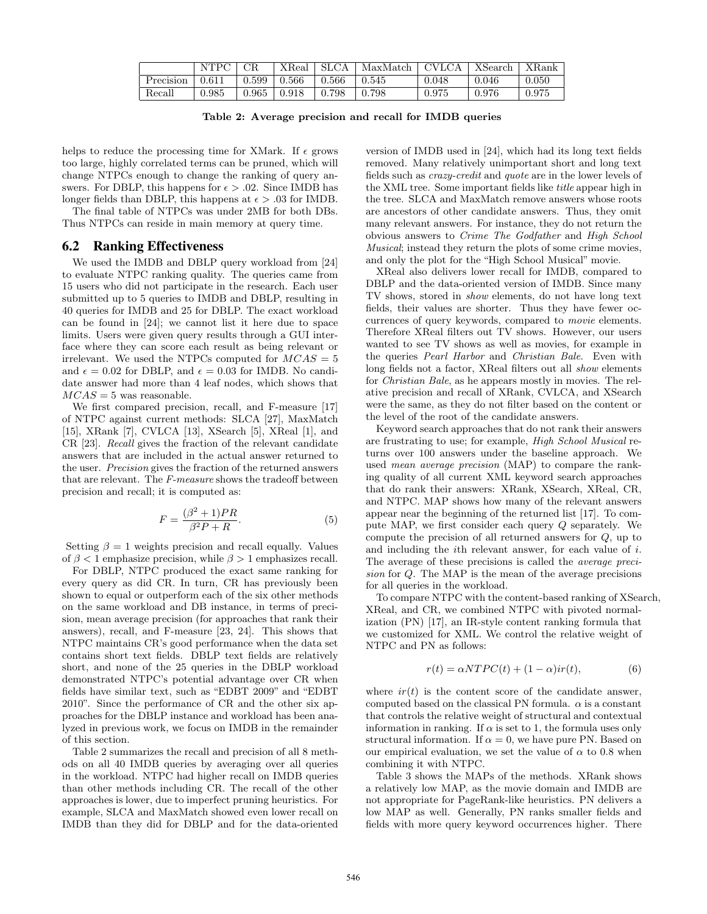|           | NTPC . | CR.   | XReal | SLCA  | MaxMatch | CVLCA   XSearch |       | <b>X</b> Rank |
|-----------|--------|-------|-------|-------|----------|-----------------|-------|---------------|
| Precision | 0.611  | 0.599 | 0.566 | 0.566 | 0.545    | 0.048           | 0.046 | 0.050         |
| Recall    | 0.985  | 0.965 | 0.918 | 0.798 | 0.798    | 0.975           | 0.976 | 0.975         |

Table 2: Average precision and recall for IMDB queries

helps to reduce the processing time for XMark. If  $\epsilon$  grows too large, highly correlated terms can be pruned, which will change NTPCs enough to change the ranking of query answers. For DBLP, this happens for  $\epsilon > .02$ . Since IMDB has longer fields than DBLP, this happens at  $\epsilon > .03$  for IMDB.

The final table of NTPCs was under 2MB for both DBs. Thus NTPCs can reside in main memory at query time.

# 6.2 Ranking Effectiveness

We used the IMDB and DBLP query workload from [24] to evaluate NTPC ranking quality. The queries came from 15 users who did not participate in the research. Each user submitted up to 5 queries to IMDB and DBLP, resulting in 40 queries for IMDB and 25 for DBLP. The exact workload can be found in [24]; we cannot list it here due to space limits. Users were given query results through a GUI interface where they can score each result as being relevant or irrelevant. We used the NTPCs computed for  $MCAS = 5$ and  $\epsilon = 0.02$  for DBLP, and  $\epsilon = 0.03$  for IMDB. No candidate answer had more than 4 leaf nodes, which shows that  $MCAS = 5$  was reasonable.

We first compared precision, recall, and F-measure [17] of NTPC against current methods: SLCA [27], MaxMatch [15], XRank [7], CVLCA [13], XSearch [5], XReal [1], and CR [23]. Recall gives the fraction of the relevant candidate answers that are included in the actual answer returned to the user. Precision gives the fraction of the returned answers that are relevant. The F-measure shows the tradeoff between precision and recall; it is computed as:

$$
F = \frac{(\beta^2 + 1)PR}{\beta^2 P + R}.\tag{5}
$$

Setting  $\beta = 1$  weights precision and recall equally. Values of  $\beta$  < 1 emphasize precision, while  $\beta$  > 1 emphasizes recall.

For DBLP, NTPC produced the exact same ranking for every query as did CR. In turn, CR has previously been shown to equal or outperform each of the six other methods on the same workload and DB instance, in terms of precision, mean average precision (for approaches that rank their answers), recall, and F-measure [23, 24]. This shows that NTPC maintains CR's good performance when the data set contains short text fields. DBLP text fields are relatively short, and none of the 25 queries in the DBLP workload demonstrated NTPC's potential advantage over CR when fields have similar text, such as "EDBT 2009" and "EDBT 2010". Since the performance of CR and the other six approaches for the DBLP instance and workload has been analyzed in previous work, we focus on IMDB in the remainder of this section.

Table 2 summarizes the recall and precision of all 8 methods on all 40 IMDB queries by averaging over all queries in the workload. NTPC had higher recall on IMDB queries than other methods including CR. The recall of the other approaches is lower, due to imperfect pruning heuristics. For example, SLCA and MaxMatch showed even lower recall on IMDB than they did for DBLP and for the data-oriented version of IMDB used in [24], which had its long text fields removed. Many relatively unimportant short and long text fields such as crazy-credit and quote are in the lower levels of the XML tree. Some important fields like title appear high in the tree. SLCA and MaxMatch remove answers whose roots are ancestors of other candidate answers. Thus, they omit many relevant answers. For instance, they do not return the obvious answers to Crime The Godfather and High School Musical; instead they return the plots of some crime movies, and only the plot for the "High School Musical" movie.

XReal also delivers lower recall for IMDB, compared to DBLP and the data-oriented version of IMDB. Since many TV shows, stored in show elements, do not have long text fields, their values are shorter. Thus they have fewer occurrences of query keywords, compared to movie elements. Therefore XReal filters out TV shows. However, our users wanted to see TV shows as well as movies, for example in the queries Pearl Harbor and Christian Bale. Even with long fields not a factor, XReal filters out all show elements for Christian Bale, as he appears mostly in movies. The relative precision and recall of XRank, CVLCA, and XSearch were the same, as they do not filter based on the content or the level of the root of the candidate answers.

Keyword search approaches that do not rank their answers are frustrating to use; for example, High School Musical returns over 100 answers under the baseline approach. We used mean average precision (MAP) to compare the ranking quality of all current XML keyword search approaches that do rank their answers: XRank, XSearch, XReal, CR, and NTPC. MAP shows how many of the relevant answers appear near the beginning of the returned list [17]. To compute MAP, we first consider each query Q separately. We compute the precision of all returned answers for Q, up to and including the ith relevant answer, for each value of i. The average of these precisions is called the average precision for Q. The MAP is the mean of the average precisions for all queries in the workload.

To compare NTPC with the content-based ranking of XSearch, XReal, and CR, we combined NTPC with pivoted normalization (PN) [17], an IR-style content ranking formula that we customized for XML. We control the relative weight of NTPC and PN as follows:

$$
r(t) = \alpha NTPC(t) + (1 - \alpha)ir(t),
$$
\n(6)

where  $ir(t)$  is the content score of the candidate answer, computed based on the classical PN formula.  $\alpha$  is a constant that controls the relative weight of structural and contextual information in ranking. If  $\alpha$  is set to 1, the formula uses only structural information. If  $\alpha = 0$ , we have pure PN. Based on our empirical evaluation, we set the value of  $\alpha$  to 0.8 when combining it with NTPC.

Table 3 shows the MAPs of the methods. XRank shows a relatively low MAP, as the movie domain and IMDB are not appropriate for PageRank-like heuristics. PN delivers a low MAP as well. Generally, PN ranks smaller fields and fields with more query keyword occurrences higher. There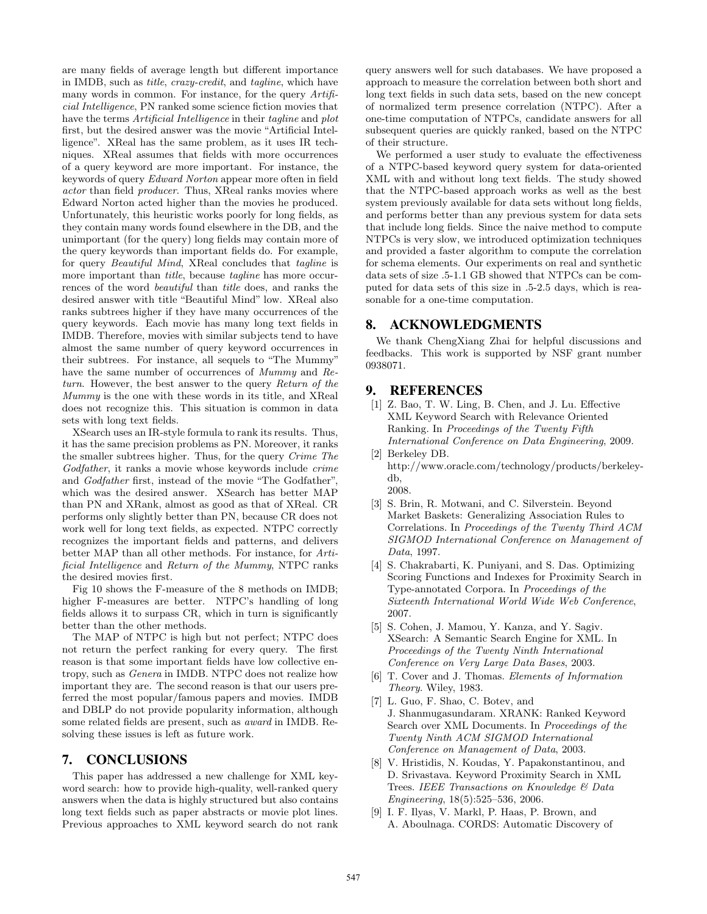are many fields of average length but different importance in IMDB, such as title, crazy-credit, and tagline, which have many words in common. For instance, for the query Artificial Intelligence, PN ranked some science fiction movies that have the terms *Artificial Intelligence* in their *tagline* and *plot* first, but the desired answer was the movie "Artificial Intelligence". XReal has the same problem, as it uses IR techniques. XReal assumes that fields with more occurrences of a query keyword are more important. For instance, the keywords of query Edward Norton appear more often in field actor than field producer. Thus, XReal ranks movies where Edward Norton acted higher than the movies he produced. Unfortunately, this heuristic works poorly for long fields, as they contain many words found elsewhere in the DB, and the unimportant (for the query) long fields may contain more of the query keywords than important fields do. For example, for query Beautiful Mind, XReal concludes that tagline is more important than *title*, because *tagline* has more occurrences of the word beautiful than title does, and ranks the desired answer with title "Beautiful Mind" low. XReal also ranks subtrees higher if they have many occurrences of the query keywords. Each movie has many long text fields in IMDB. Therefore, movies with similar subjects tend to have almost the same number of query keyword occurrences in their subtrees. For instance, all sequels to "The Mummy" have the same number of occurrences of *Mummy* and Return. However, the best answer to the query Return of the Mummy is the one with these words in its title, and XReal does not recognize this. This situation is common in data sets with long text fields.

XSearch uses an IR-style formula to rank its results. Thus, it has the same precision problems as PN. Moreover, it ranks the smaller subtrees higher. Thus, for the query Crime The Godfather, it ranks a movie whose keywords include *crime* and Godfather first, instead of the movie "The Godfather", which was the desired answer. XSearch has better MAP than PN and XRank, almost as good as that of XReal. CR performs only slightly better than PN, because CR does not work well for long text fields, as expected. NTPC correctly recognizes the important fields and patterns, and delivers better MAP than all other methods. For instance, for Artificial Intelligence and Return of the Mummy, NTPC ranks the desired movies first.

Fig 10 shows the F-measure of the 8 methods on IMDB; higher F-measures are better. NTPC's handling of long fields allows it to surpass CR, which in turn is significantly better than the other methods.

The MAP of NTPC is high but not perfect; NTPC does not return the perfect ranking for every query. The first reason is that some important fields have low collective entropy, such as Genera in IMDB. NTPC does not realize how important they are. The second reason is that our users preferred the most popular/famous papers and movies. IMDB and DBLP do not provide popularity information, although some related fields are present, such as award in IMDB. Resolving these issues is left as future work.

# 7. CONCLUSIONS

This paper has addressed a new challenge for XML keyword search: how to provide high-quality, well-ranked query answers when the data is highly structured but also contains long text fields such as paper abstracts or movie plot lines. Previous approaches to XML keyword search do not rank query answers well for such databases. We have proposed a approach to measure the correlation between both short and long text fields in such data sets, based on the new concept of normalized term presence correlation (NTPC). After a one-time computation of NTPCs, candidate answers for all subsequent queries are quickly ranked, based on the NTPC of their structure.

We performed a user study to evaluate the effectiveness of a NTPC-based keyword query system for data-oriented XML with and without long text fields. The study showed that the NTPC-based approach works as well as the best system previously available for data sets without long fields, and performs better than any previous system for data sets that include long fields. Since the naive method to compute NTPCs is very slow, we introduced optimization techniques and provided a faster algorithm to compute the correlation for schema elements. Our experiments on real and synthetic data sets of size .5-1.1 GB showed that NTPCs can be computed for data sets of this size in .5-2.5 days, which is reasonable for a one-time computation.

## 8. ACKNOWLEDGMENTS

We thank ChengXiang Zhai for helpful discussions and feedbacks. This work is supported by NSF grant number 0938071.

## 9. REFERENCES

- [1] Z. Bao, T. W. Ling, B. Chen, and J. Lu. Effective XML Keyword Search with Relevance Oriented Ranking. In Proceedings of the Twenty Fifth International Conference on Data Engineering, 2009.
- [2] Berkeley DB. http://www.oracle.com/technology/products/berkeleydb, 2008.
- [3] S. Brin, R. Motwani, and C. Silverstein. Beyond Market Baskets: Generalizing Association Rules to Correlations. In Proceedings of the Twenty Third ACM SIGMOD International Conference on Management of Data, 1997.
- [4] S. Chakrabarti, K. Puniyani, and S. Das. Optimizing Scoring Functions and Indexes for Proximity Search in Type-annotated Corpora. In Proceedings of the Sixteenth International World Wide Web Conference, 2007.
- [5] S. Cohen, J. Mamou, Y. Kanza, and Y. Sagiv. XSearch: A Semantic Search Engine for XML. In Proceedings of the Twenty Ninth International Conference on Very Large Data Bases, 2003.
- [6] T. Cover and J. Thomas. Elements of Information Theory. Wiley, 1983.
- [7] L. Guo, F. Shao, C. Botev, and J. Shanmugasundaram. XRANK: Ranked Keyword Search over XML Documents. In Proceedings of the Twenty Ninth ACM SIGMOD International Conference on Management of Data, 2003.
- [8] V. Hristidis, N. Koudas, Y. Papakonstantinou, and D. Srivastava. Keyword Proximity Search in XML Trees. IEEE Transactions on Knowledge & Data Engineering, 18(5):525–536, 2006.
- [9] I. F. Ilyas, V. Markl, P. Haas, P. Brown, and A. Aboulnaga. CORDS: Automatic Discovery of